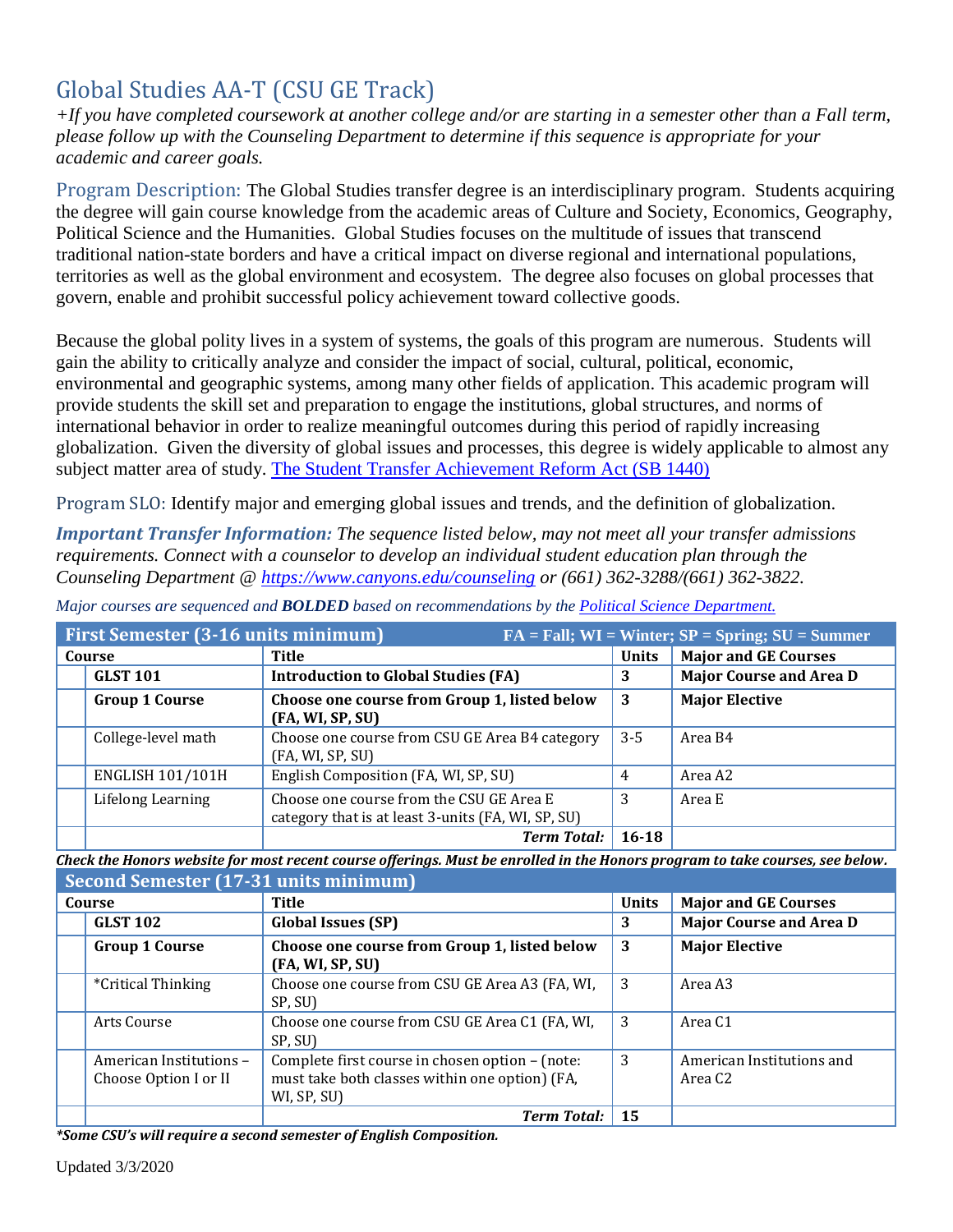# Global Studies AA-T (CSU GE Track)

*+If you have completed coursework at another college and/or are starting in a semester other than a Fall term, please follow up with the Counseling Department to determine if this sequence is appropriate for your academic and career goals.* 

Program Description: The Global Studies transfer degree is an interdisciplinary program. Students acquiring the degree will gain course knowledge from the academic areas of Culture and Society, Economics, Geography, Political Science and the Humanities. Global Studies focuses on the multitude of issues that transcend traditional nation-state borders and have a critical impact on diverse regional and international populations, territories as well as the global environment and ecosystem. The degree also focuses on global processes that govern, enable and prohibit successful policy achievement toward collective goods.

Because the global polity lives in a system of systems, the goals of this program are numerous. Students will gain the ability to critically analyze and consider the impact of social, cultural, political, economic, environmental and geographic systems, among many other fields of application. This academic program will provide students the skill set and preparation to engage the institutions, global structures, and norms of international behavior in order to realize meaningful outcomes during this period of rapidly increasing globalization. Given the diversity of global issues and processes, this degree is widely applicable to almost any subject matter area of study. [The Student Transfer Achievement Reform Act \(SB 1440\)](https://www2.calstate.edu/apply/transfer/Pages/ccc-associate-degree-for-transfer.aspx)

Program SLO: Identify major and emerging global issues and trends, and the definition of globalization.

*Important Transfer Information: The sequence listed below, may not meet all your transfer admissions requirements. Connect with a counselor to develop an individual student education plan through the Counseling Department @<https://www.canyons.edu/counseling> or (661) 362-3288/(661) 362-3822.*

| First Semester (3-16 units minimum)<br>$FA = Fall; WI = Winter; \overline{SP} = Spring; SU = Summer$ |                                                    |              |                                |  |
|------------------------------------------------------------------------------------------------------|----------------------------------------------------|--------------|--------------------------------|--|
| Course                                                                                               | <b>Title</b>                                       | <b>Units</b> | <b>Major and GE Courses</b>    |  |
| <b>GLST 101</b>                                                                                      | <b>Introduction to Global Studies (FA)</b>         | 3            | <b>Major Course and Area D</b> |  |
| <b>Group 1 Course</b>                                                                                | Choose one course from Group 1, listed below       | -3           | <b>Major Elective</b>          |  |
|                                                                                                      | (FA, WI, SP, SU)                                   |              |                                |  |
| College-level math                                                                                   | Choose one course from CSU GE Area B4 category     | $3 - 5$      | Area B4                        |  |
|                                                                                                      | (FA, WI, SP, SU)                                   |              |                                |  |
| <b>ENGLISH 101/101H</b>                                                                              | English Composition (FA, WI, SP, SU)               | 4            | Area A2                        |  |
| Lifelong Learning                                                                                    | Choose one course from the CSU GE Area E           | 3            | Area E                         |  |
|                                                                                                      | category that is at least 3-units (FA, WI, SP, SU) |              |                                |  |
|                                                                                                      | <b>Term Total:</b>                                 | $16 - 18$    |                                |  |

*Major courses are sequenced and BOLDED based on recommendations by the [Political Science](https://www.canyons.edu/academics/politicalscience/index.php) Department.*

*Check the Honors website for most recent course offerings. Must be enrolled in the Honors program to take courses, see below.*

| Second Semester (17-31 units minimum) |                                                  |                                                                                                                  |              |                                      |
|---------------------------------------|--------------------------------------------------|------------------------------------------------------------------------------------------------------------------|--------------|--------------------------------------|
|                                       | Course                                           | Title                                                                                                            | <b>Units</b> | <b>Major and GE Courses</b>          |
|                                       | <b>GLST 102</b>                                  | <b>Global Issues (SP)</b>                                                                                        | 3            | <b>Major Course and Area D</b>       |
|                                       | <b>Group 1 Course</b>                            | Choose one course from Group 1, listed below<br>(FA, WI, SP, SU)                                                 | 3            | <b>Major Elective</b>                |
|                                       | *Critical Thinking                               | Choose one course from CSU GE Area A3 (FA, WI,<br>SP, SU)                                                        | 3            | Area A3                              |
|                                       | Arts Course                                      | Choose one course from CSU GE Area C1 (FA, WI,<br>SP, SU)                                                        | 3            | Area C <sub>1</sub>                  |
|                                       | American Institutions -<br>Choose Option I or II | Complete first course in chosen option – (note:<br>must take both classes within one option) (FA,<br>WI, SP, SU) | 3            | American Institutions and<br>Area C2 |
|                                       |                                                  | <b>Term Total:</b>                                                                                               | 15           |                                      |

*\*Some CSU's will require a second semester of English Composition.*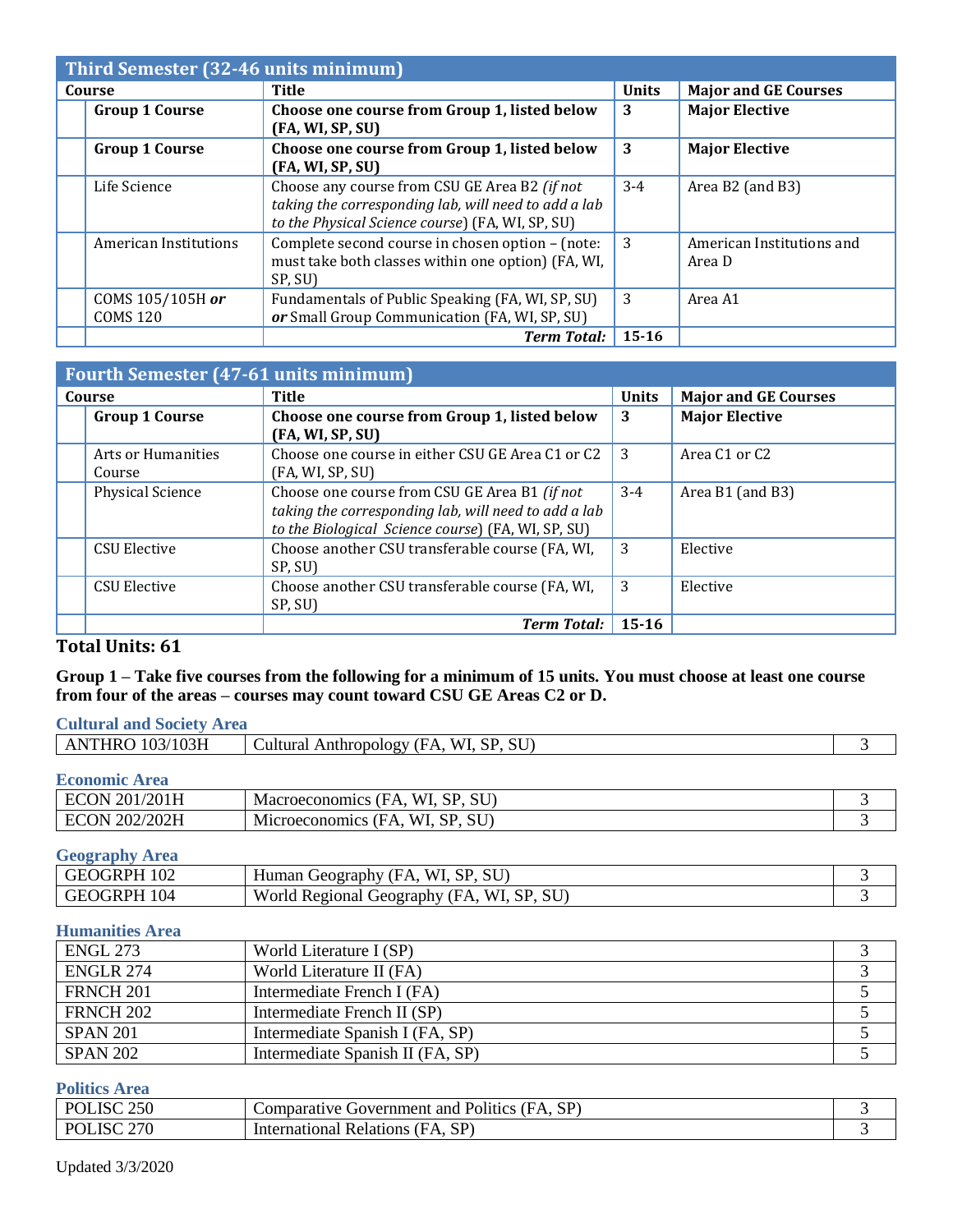| Third Semester (32-46 units minimum) |                                                                                                                                                           |              |                                     |
|--------------------------------------|-----------------------------------------------------------------------------------------------------------------------------------------------------------|--------------|-------------------------------------|
| Course                               | <b>Title</b>                                                                                                                                              | <b>Units</b> | <b>Major and GE Courses</b>         |
| <b>Group 1 Course</b>                | Choose one course from Group 1, listed below<br>(FA, WI, SP, SU)                                                                                          | 3            | <b>Major Elective</b>               |
| <b>Group 1 Course</b>                | Choose one course from Group 1, listed below<br>(FA, WI, SP, SU)                                                                                          | 3            | <b>Major Elective</b>               |
| Life Science                         | Choose any course from CSU GE Area B2 (if not<br>taking the corresponding lab, will need to add a lab<br>to the Physical Science course) (FA, WI, SP, SU) | $3 - 4$      | Area B2 (and B3)                    |
| American Institutions                | Complete second course in chosen option - (note:<br>must take both classes within one option) (FA, WI,<br>SP, SU)                                         | 3            | American Institutions and<br>Area D |
| COMS 105/105H or<br><b>COMS 120</b>  | Fundamentals of Public Speaking (FA, WI, SP, SU)<br>or Small Group Communication (FA, WI, SP, SU)                                                         | 3            | Area A1                             |
|                                      | <b>Term Total:</b>                                                                                                                                        | $15 - 16$    |                                     |

| <b>Fourth Semester (47-61 units minimum)</b> |                              |                                                                                                                                                             |              |                                       |
|----------------------------------------------|------------------------------|-------------------------------------------------------------------------------------------------------------------------------------------------------------|--------------|---------------------------------------|
|                                              | Course                       | <b>Title</b>                                                                                                                                                | <b>Units</b> | <b>Major and GE Courses</b>           |
|                                              | <b>Group 1 Course</b>        | Choose one course from Group 1, listed below<br>(FA, WI, SP, SU)                                                                                            | 3            | <b>Major Elective</b>                 |
|                                              | Arts or Humanities<br>Course | Choose one course in either CSU GE Area C1 or C2<br>(FA, WI, SP, SU)                                                                                        | 3            | Area C <sub>1</sub> or C <sub>2</sub> |
|                                              | Physical Science             | Choose one course from CSU GE Area B1 (if not<br>taking the corresponding lab, will need to add a lab<br>to the Biological Science course) (FA, WI, SP, SU) | $3-4$        | Area $B1$ (and $B3$ )                 |
|                                              | <b>CSU Elective</b>          | Choose another CSU transferable course (FA, WI,<br>SP, SU)                                                                                                  | 3            | Elective                              |
|                                              | <b>CSU Elective</b>          | Choose another CSU transferable course (FA, WI,<br>SP, SU)                                                                                                  | 3            | Elective                              |
|                                              |                              | <b>Term Total:</b>                                                                                                                                          | $15 - 16$    |                                       |

## **Total Units: 61**

## **Group 1 – Take five courses from the following for a minimum of 15 units. You must choose at least one course from four of the areas – courses may count toward CSU GE Areas C2 or D.**

| <b>Cultural and Society Area</b> |                                        |  |
|----------------------------------|----------------------------------------|--|
| <b>ANTHRO 103/103H</b>           | Cultural Anthropology (FA, WI, SP, SU) |  |
| <b>Economic Area</b>             |                                        |  |
| $\pm$ ECON 201/201H              | Macroeconomics (FA WI SD SII)          |  |

| /201H<br>201<br>$\mathbf{N}$ | <b>WI</b><br>CIT<br>CD<br>Macroeconomics<br>' H /<br>ັບບ<br>. к.         |  |
|------------------------------|--------------------------------------------------------------------------|--|
| /202H<br>202<br>DN.          | <b>CIT</b><br><b>CD</b><br>W<br>M1croe<br>' H A<br>conomics<br>P∪<br>. . |  |

**Geography Area**

| 102<br>GRPH<br>. ÷H' | WI.<br><b>SU</b><br>CD<br>HА<br>Geography<br>Human                                   |  |
|----------------------|--------------------------------------------------------------------------------------|--|
| 104<br>GRPH<br>. ÷⊢⊖ | <b>SU</b><br>World<br><b>CD</b><br>WI<br>Regiona<br><b>TEO</b> THE TEO<br>$H \wedge$ |  |

# **Humanities Area**

| <b>Transmittered the ca</b> |                                  |  |
|-----------------------------|----------------------------------|--|
| <b>ENGL 273</b>             | World Literature I (SP)          |  |
| ENGLR 274                   | World Literature II (FA)         |  |
| FRNCH <sub>201</sub>        | Intermediate French I (FA)       |  |
| FRNCH <sub>202</sub>        | Intermediate French II (SP)      |  |
| <b>SPAN 201</b>             | Intermediate Spanish I (FA, SP)  |  |
| <b>SPAN 202</b>             | Intermediate Spanish II (FA, SP) |  |

# **Politics Area**

| SC250<br>$\Gamma$ $\Gamma$ | $SP^{\circ}$<br>Politics<br>(FA<br>Government and P<br>Comparative C |  |
|----------------------------|----------------------------------------------------------------------|--|
| 270<br>$\cdot$ PC          | A, SP<br>International<br>. Relations (FA                            |  |